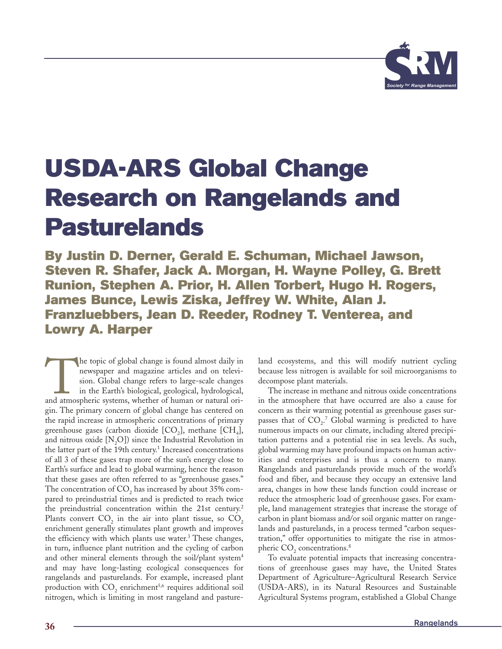

# **USDA-ARS Global Change Research on Rangelands and Pasturelands**

**By Justin D. Derner, Gerald E. Schuman, Michael Jawson, Steven R. Shafer, Jack A. Morgan, H. Wayne Polley, G. Brett Runion, Stephen A. Prior, H. Allen Torbert, Hugo H. Rogers, James Bunce, Lewis Ziska, Jeffrey W. White, Alan J. Franzluebbers, Jean D. Reeder, Rodney T. Venterea, and Lowry A. Harper**

The topic of global change is found almost daily in newspaper and magazine articles and on television. Global change refers to large-scale changes in the Earth's biological, geological, hydrological, and atmospheric system newspaper and magazine articles and on television. Global change refers to large-scale changes in the Earth's biological, geological, hydrological, gin. The primary concern of global change has centered on the rapid increase in atmospheric concentrations of primary greenhouse gases (carbon dioxide  $[CO_2]$ , methane  $[CH_4]$ , and nitrous oxide  $[N, O]$  since the Industrial Revolution in the latter part of the 19th century.<sup>1</sup> Increased concentrations of all 3 of these gases trap more of the sun's energy close to Earth's surface and lead to global warming, hence the reason that these gases are often referred to as "greenhouse gases." The concentration of  $CO<sub>2</sub>$  has increased by about 35% compared to preindustrial times and is predicted to reach twice the preindustrial concentration within the 21st century.<sup>2</sup> Plants convert  $CO<sub>2</sub>$  in the air into plant tissue, so  $CO<sub>2</sub>$ enrichment generally stimulates plant growth and improves the efficiency with which plants use water. $3$  These changes, in turn, influence plant nutrition and the cycling of carbon and other mineral elements through the soil/plant system<sup>4</sup> and may have long-lasting ecological consequences for rangelands and pasturelands. For example, increased plant production with  $CO<sub>2</sub>$  enrichment<sup>5,6</sup> requires additional soil nitrogen, which is limiting in most rangeland and pasture-

land ecosystems, and this will modify nutrient cycling because less nitrogen is available for soil microorganisms to decompose plant materials.

The increase in methane and nitrous oxide concentrations in the atmosphere that have occurred are also a cause for concern as their warming potential as greenhouse gases surpasses that of  $CO<sub>2</sub>$ .<sup>7</sup> Global warming is predicted to have numerous impacts on our climate, including altered precipitation patterns and a potential rise in sea levels. As such, global warming may have profound impacts on human activities and enterprises and is thus a concern to many. Rangelands and pasturelands provide much of the world's food and fiber, and because they occupy an extensive land area, changes in how these lands function could increase or reduce the atmospheric load of greenhouse gases. For example, land management strategies that increase the storage of carbon in plant biomass and/or soil organic matter on rangelands and pasturelands, in a process termed "carbon sequestration," offer opportunities to mitigate the rise in atmospheric  $CO<sub>2</sub>$  concentrations.<sup>8</sup>

To evaluate potential impacts that increasing concentrations of greenhouse gases may have, the United States Department of Agriculture–Agricultural Research Service (USDA-ARS), in its Natural Resources and Sustainable Agricultural Systems program, established a Global Change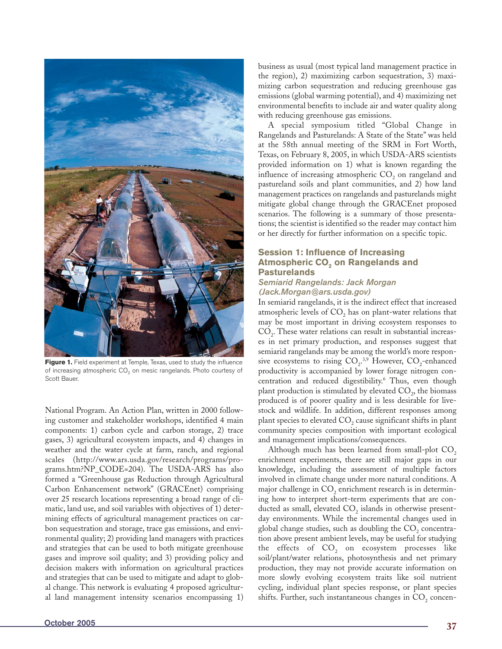

Figure 1. Field experiment at Temple, Texas, used to study the influence of increasing atmospheric CO<sub>2</sub> on mesic rangelands. Photo courtesy of Scott Bauer.

National Program. An Action Plan, written in 2000 following customer and stakeholder workshops, identified 4 main components: 1) carbon cycle and carbon storage, 2) trace gases, 3) agricultural ecosystem impacts, and 4) changes in weather and the water cycle at farm, ranch, and regional scales (http://www.ars.usda.gov/research/programs/programs.htm?NP\_CODE=204). The USDA-ARS has also formed a "Greenhouse gas Reduction through Agricultural Carbon Enhancement network" (GRACEnet) comprising over 25 research locations representing a broad range of climatic, land use, and soil variables with objectives of 1) determining effects of agricultural management practices on carbon sequestration and storage, trace gas emissions, and environmental quality; 2) providing land managers with practices and strategies that can be used to both mitigate greenhouse gases and improve soil quality; and 3) providing policy and decision makers with information on agricultural practices and strategies that can be used to mitigate and adapt to global change. This network is evaluating 4 proposed agricultural land management intensity scenarios encompassing 1) business as usual (most typical land management practice in the region), 2) maximizing carbon sequestration, 3) maximizing carbon sequestration and reducing greenhouse gas emissions (global warming potential), and 4) maximizing net environmental benefits to include air and water quality along with reducing greenhouse gas emissions.

A special symposium titled "Global Change in Rangelands and Pasturelands: A State of the State" was held at the 58th annual meeting of the SRM in Fort Worth, Texas, on February 8, 2005, in which USDA-ARS scientists provided information on 1) what is known regarding the influence of increasing atmospheric  $CO<sub>2</sub>$  on rangeland and pastureland soils and plant communities, and 2) how land management practices on rangelands and pasturelands might mitigate global change through the GRACEnet proposed scenarios. The following is a summary of those presentations; the scientist is identified so the reader may contact him or her directly for further information on a specific topic.

# **Session 1: Influence of Increasing Atmospheric CO<sub>2</sub> on Rangelands and Pasturelands**

## *Semiarid Rangelands: Jack Morgan (Jack.Morgan@ars.usda.gov)*

In semiarid rangelands, it is the indirect effect that increased atmospheric levels of  $CO<sub>2</sub>$  has on plant-water relations that may be most important in driving ecosystem responses to  $CO<sub>2</sub>$ . These water relations can result in substantial increases in net primary production, and responses suggest that semiarid rangelands may be among the world's more responsive ecosystems to rising  $CO<sub>2</sub>^{3,9}$  However,  $CO<sub>2</sub>$ -enhanced productivity is accompanied by lower forage nitrogen concentration and reduced digestibility.<sup>6</sup> Thus, even though plant production is stimulated by elevated  $CO<sub>2</sub>$ , the biomass produced is of poorer quality and is less desirable for livestock and wildlife. In addition, different responses among plant species to elevated  $CO<sub>2</sub>$  cause significant shifts in plant community species composition with important ecological and management implications/consequences.

Although much has been learned from small-plot  $CO<sub>2</sub>$ enrichment experiments, there are still major gaps in our knowledge, including the assessment of multiple factors involved in climate change under more natural conditions. A major challenge in CO<sub>2</sub> enrichment research is in determining how to interpret short-term experiments that are conducted as small, elevated  $CO<sub>2</sub>$  islands in otherwise presentday environments. While the incremental changes used in global change studies, such as doubling the  $CO<sub>2</sub>$  concentration above present ambient levels, may be useful for studying the effects of  $CO<sub>2</sub>$  on ecosystem processes like soil/plant/water relations, photosynthesis and net primary production, they may not provide accurate information on more slowly evolving ecosystem traits like soil nutrient cycling, individual plant species response, or plant species shifts. Further, such instantaneous changes in  $CO<sub>2</sub>$  concen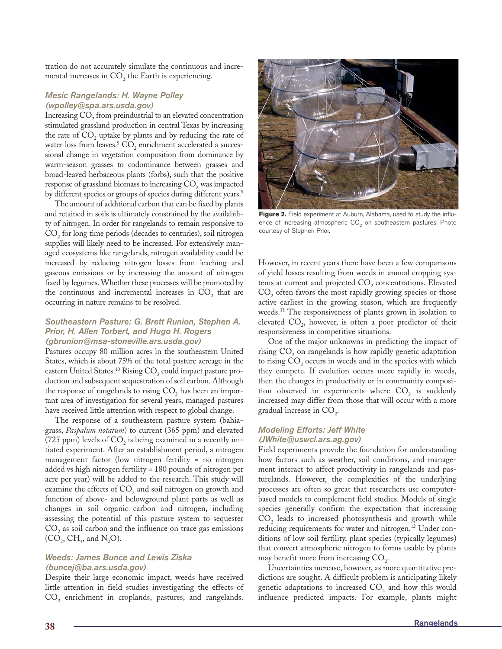tration do not accurately simulate the continuous and incremental increases in  $CO<sub>2</sub>$  the Earth is experiencing.

# *Mesic Rangelands: H. Wayne Polley (wpolley@spa.ars.usda.gov)*

Increasing CO<sub>2</sub> from preindustrial to an elevated concentration stimulated grassland production in central Texas by increasing the rate of  $CO<sub>2</sub>$  uptake by plants and by reducing the rate of water loss from leaves.<sup>5</sup> CO<sub>2</sub> enrichment accelerated a successional change in vegetation composition from dominance by warm-season grasses to codominance between grasses and broad-leaved herbaceous plants (forbs), such that the positive response of grassland biomass to increasing  $CO<sub>2</sub>$  was impacted by different species or groups of species during different years.<sup>5</sup>

The amount of additional carbon that can be fixed by plants and retained in soils is ultimately constrained by the availability of nitrogen. In order for rangelands to remain responsive to CO<sub>2</sub> for long time periods (decades to centuries), soil nitrogen supplies will likely need to be increased. For extensively managed ecosystems like rangelands, nitrogen availability could be increased by reducing nitrogen losses from leaching and gaseous emissions or by increasing the amount of nitrogen fixed by legumes. Whether these processes will be promoted by the continuous and incremental increases in  $CO<sub>2</sub>$  that are occurring in nature remains to be resolved.

### *Southeastern Pasture: G. Brett Runion, Stephen A. Prior, H. Allen Torbert, and Hugo H. Rogers (gbrunion@msa-stoneville.ars.usda.gov)*

Pastures occupy 80 million acres in the southeastern United States, which is about 75% of the total pasture acreage in the eastern United States.<sup>10</sup> Rising CO<sub>2</sub> could impact pasture production and subsequent sequestration of soil carbon. Although the response of rangelands to rising  $CO<sub>2</sub>$  has been an important area of investigation for several years, managed pastures have received little attention with respect to global change.

The response of a southeastern pasture system (bahiagrass, *Paspalum notatum*) to current (365 ppm) and elevated (725 ppm) levels of  $CO<sub>2</sub>$  is being examined in a recently initiated experiment. After an establishment period, a nitrogen management factor (low nitrogen fertility = no nitrogen added vs high nitrogen fertility = 180 pounds of nitrogen per acre per year) will be added to the research. This study will examine the effects of  $CO<sub>2</sub>$  and soil nitrogen on growth and function of above- and belowground plant parts as well as changes in soil organic carbon and nitrogen, including assessing the potential of this pasture system to sequester  $CO<sub>2</sub>$  as soil carbon and the influence on trace gas emissions  $(CO<sub>2</sub>, CH<sub>4</sub>, and N<sub>2</sub>O).$ 

# *Weeds: James Bunce and Lewis Ziska (buncej@ba.ars.usda.gov)*

Despite their large economic impact, weeds have received little attention in field studies investigating the effects of  $CO<sub>2</sub>$  enrichment in croplands, pastures, and rangelands.



Figure 2. Field experiment at Auburn, Alabama, used to study the influence of increasing atmospheric  $CO<sub>2</sub>$  on southeastern pastures. Photo courtesy of Stephen Prior.

However, in recent years there have been a few comparisons of yield losses resulting from weeds in annual cropping systems at current and projected  $CO<sub>2</sub>$  concentrations. Elevated CO<sub>2</sub> often favors the most rapidly growing species or those active earliest in the growing season, which are frequently weeds.11 The responsiveness of plants grown in isolation to elevated  $CO<sub>2</sub>$ , however, is often a poor predictor of their responsiveness in competitive situations.

One of the major unknowns in predicting the impact of rising  $CO<sub>2</sub>$  on rangelands is how rapidly genetic adaptation to rising CO<sub>2</sub> occurs in weeds and in the species with which they compete. If evolution occurs more rapidly in weeds, then the changes in productivity or in community composition observed in experiments where  $CO<sub>2</sub>$  is suddenly increased may differ from those that will occur with a more gradual increase in  $CO<sub>2</sub>$ .

# *Modeling Efforts: Jeff White (JWhite@uswcl.ars.ag.gov)*

Field experiments provide the foundation for understanding how factors such as weather, soil conditions, and management interact to affect productivity in rangelands and pasturelands. However, the complexities of the underlying processes are often so great that researchers use computerbased models to complement field studies. Models of single species generally confirm the expectation that increasing CO<sub>2</sub> leads to increased photosynthesis and growth while reducing requirements for water and nitrogen.<sup>12</sup> Under conditions of low soil fertility, plant species (typically legumes) that convert atmospheric nitrogen to forms usable by plants may benefit more from increasing CO<sub>2</sub>.

Uncertainties increase, however, as more quantitative predictions are sought. A difficult problem is anticipating likely genetic adaptations to increased  $CO<sub>2</sub>$  and how this would influence predicted impacts. For example, plants might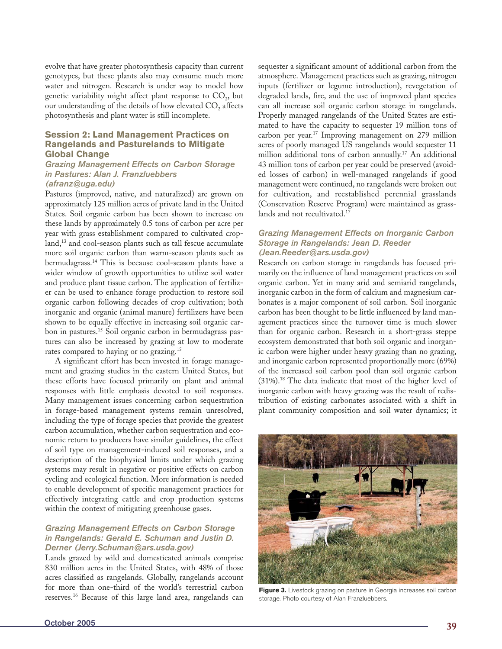evolve that have greater photosynthesis capacity than current genotypes, but these plants also may consume much more water and nitrogen. Research is under way to model how genetic variability might affect plant response to  $CO<sub>2</sub>$ , but our understanding of the details of how elevated  $CO<sub>2</sub>$  affects photosynthesis and plant water is still incomplete.

# **Session 2: Land Management Practices on Rangelands and Pasturelands to Mitigate Global Change**

#### *Grazing Management Effects on Carbon Storage in Pastures: Alan J. Franzluebbers (afranz@uga.edu)*

Pastures (improved, native, and naturalized) are grown on approximately 125 million acres of private land in the United States. Soil organic carbon has been shown to increase on these lands by approximately 0.5 tons of carbon per acre per year with grass establishment compared to cultivated cropland,<sup>13</sup> and cool-season plants such as tall fescue accumulate more soil organic carbon than warm-season plants such as bermudagrass.14 This is because cool-season plants have a wider window of growth opportunities to utilize soil water and produce plant tissue carbon. The application of fertilizer can be used to enhance forage production to restore soil organic carbon following decades of crop cultivation; both inorganic and organic (animal manure) fertilizers have been shown to be equally effective in increasing soil organic carbon in pastures.15 Soil organic carbon in bermudagrass pastures can also be increased by grazing at low to moderate rates compared to haying or no grazing.15

A significant effort has been invested in forage management and grazing studies in the eastern United States, but these efforts have focused primarily on plant and animal responses with little emphasis devoted to soil responses. Many management issues concerning carbon sequestration in forage-based management systems remain unresolved, including the type of forage species that provide the greatest carbon accumulation, whether carbon sequestration and economic return to producers have similar guidelines, the effect of soil type on management-induced soil responses, and a description of the biophysical limits under which grazing systems may result in negative or positive effects on carbon cycling and ecological function. More information is needed to enable development of specific management practices for effectively integrating cattle and crop production systems within the context of mitigating greenhouse gases.

# *Grazing Management Effects on Carbon Storage in Rangelands: Gerald E. Schuman and Justin D. Derner (Jerry.Schuman@ars.usda.gov)*

Lands grazed by wild and domesticated animals comprise 830 million acres in the United States, with 48% of those acres classified as rangelands. Globally, rangelands account for more than one-third of the world's terrestrial carbon reserves.16 Because of this large land area, rangelands can

sequester a significant amount of additional carbon from the atmosphere. Management practices such as grazing, nitrogen inputs (fertilizer or legume introduction), revegetation of degraded lands, fire, and the use of improved plant species can all increase soil organic carbon storage in rangelands. Properly managed rangelands of the United States are estimated to have the capacity to sequester 19 million tons of carbon per year.17 Improving management on 279 million acres of poorly managed US rangelands would sequester 11 million additional tons of carbon annually.17 An additional 43 million tons of carbon per year could be preserved (avoided losses of carbon) in well-managed rangelands if good management were continued, no rangelands were broken out for cultivation, and reestablished perennial grasslands (Conservation Reserve Program) were maintained as grasslands and not recultivated.<sup>17</sup>

## *Grazing Management Effects on Inorganic Carbon Storage in Rangelands: Jean D. Reeder (Jean.Reeder@ars.usda.gov)*

Research on carbon storage in rangelands has focused primarily on the influence of land management practices on soil organic carbon. Yet in many arid and semiarid rangelands, inorganic carbon in the form of calcium and magnesium carbonates is a major component of soil carbon. Soil inorganic carbon has been thought to be little influenced by land management practices since the turnover time is much slower than for organic carbon. Research in a short-grass steppe ecosystem demonstrated that both soil organic and inorganic carbon were higher under heavy grazing than no grazing, and inorganic carbon represented proportionally more (69%) of the increased soil carbon pool than soil organic carbon (31%).18 The data indicate that most of the higher level of inorganic carbon with heavy grazing was the result of redistribution of existing carbonates associated with a shift in plant community composition and soil water dynamics; it



Figure 3. Livestock grazing on pasture in Georgia increases soil carbon storage. Photo courtesy of Alan Franzluebbers.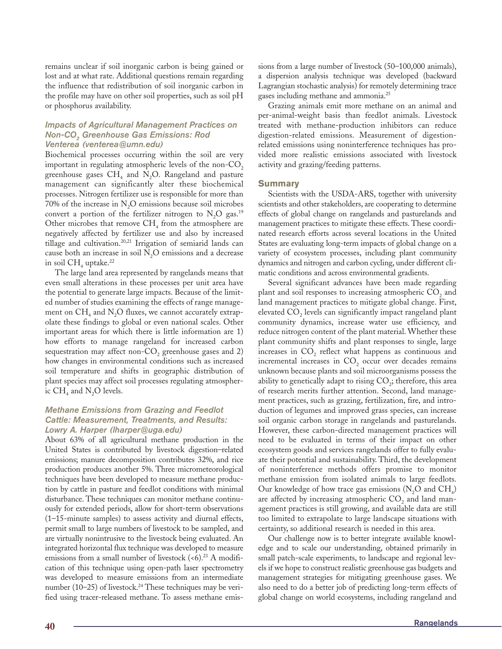remains unclear if soil inorganic carbon is being gained or lost and at what rate. Additional questions remain regarding the influence that redistribution of soil inorganic carbon in the profile may have on other soil properties, such as soil pH or phosphorus availability.

## *Impacts of Agricultural Management Practices on Non-CO2 Greenhouse Gas Emissions: Rod Venterea (venterea@umn.edu)*

Biochemical processes occurring within the soil are very important in regulating atmospheric levels of the non- $CO<sub>2</sub>$ greenhouse gases  $CH<sub>4</sub>$  and N<sub>2</sub>O. Rangeland and pasture management can significantly alter these biochemical processes. Nitrogen fertilizer use is responsible for more than  $70\%$  of the increase in N<sub>2</sub>O emissions because soil microbes convert a portion of the fertilizer nitrogen to  $N_2O$  gas.<sup>19</sup> Other microbes that remove  $\text{CH}_4$  from the atmosphere are negatively affected by fertilizer use and also by increased tillage and cultivation.20,21 Irrigation of semiarid lands can cause both an increase in soil  $N<sub>2</sub>O$  emissions and a decrease in soil  $\rm CH_{\tiny 4}$  uptake.<sup>22</sup>

The large land area represented by rangelands means that even small alterations in these processes per unit area have the potential to generate large impacts. Because of the limited number of studies examining the effects of range management on  $CH<sub>4</sub>$  and N<sub>2</sub>O fluxes, we cannot accurately extrapolate these findings to global or even national scales. Other important areas for which there is little information are 1) how efforts to manage rangeland for increased carbon sequestration may affect non- $CO<sub>2</sub>$  greenhouse gases and 2) how changes in environmental conditions such as increased soil temperature and shifts in geographic distribution of plant species may affect soil processes regulating atmospheric  $CH<sub>4</sub>$  and N<sub>2</sub>O levels.

## *Methane Emissions from Grazing and Feedlot Cattle: Measurement, Treatments, and Results: Lowry A. Harper (lharper@uga.edu)*

About 63% of all agricultural methane production in the United States is contributed by livestock digestion–related emissions; manure decomposition contributes 32%, and rice production produces another 5%. Three micrometeorological techniques have been developed to measure methane production by cattle in pasture and feedlot conditions with minimal disturbance. These techniques can monitor methane continuously for extended periods, allow for short-term observations (1–15-minute samples) to assess activity and diurnal effects, permit small to large numbers of livestock to be sampled, and are virtually nonintrusive to the livestock being evaluated. An integrated horizontal flux technique was developed to measure emissions from a small number of livestock  $( $6$ ).<sup>23</sup> A modifi$ cation of this technique using open-path laser spectrometry was developed to measure emissions from an intermediate number (10–25) of livestock.<sup>24</sup> These techniques may be verified using tracer-released methane. To assess methane emissions from a large number of livestock (50–100,000 animals), a dispersion analysis technique was developed (backward Lagrangian stochastic analysis) for remotely determining trace gases including methane and ammonia.25

Grazing animals emit more methane on an animal and per-animal-weight basis than feedlot animals. Livestock treated with methane-production inhibitors can reduce digestion-related emissions. Measurement of digestionrelated emissions using noninterference techniques has provided more realistic emissions associated with livestock activity and grazing/feeding patterns.

## **Summary**

Scientists with the USDA-ARS, together with university scientists and other stakeholders, are cooperating to determine effects of global change on rangelands and pasturelands and management practices to mitigate these effects. These coordinated research efforts across several locations in the United States are evaluating long-term impacts of global change on a variety of ecosystem processes, including plant community dynamics and nitrogen and carbon cycling, under different climatic conditions and across environmental gradients.

Several significant advances have been made regarding plant and soil responses to increasing atmospheric  $CO<sub>2</sub>$  and land management practices to mitigate global change. First, elevated CO<sub>2</sub> levels can significantly impact rangeland plant community dynamics, increase water use efficiency, and reduce nitrogen content of the plant material. Whether these plant community shifts and plant responses to single, large increases in  $CO<sub>2</sub>$  reflect what happens as continuous and incremental increases in  $CO<sub>2</sub>$  occur over decades remains unknown because plants and soil microorganisms possess the ability to genetically adapt to rising  $CO<sub>2</sub>$ ; therefore, this area of research merits further attention. Second, land management practices, such as grazing, fertilization, fire, and introduction of legumes and improved grass species, can increase soil organic carbon storage in rangelands and pasturelands. However, these carbon-directed management practices will need to be evaluated in terms of their impact on other ecosystem goods and services rangelands offer to fully evaluate their potential and sustainability. Third, the development of noninterference methods offers promise to monitor methane emission from isolated animals to large feedlots. Our knowledge of how trace gas emissions  $(N_2O \text{ and } CH_4)$ are affected by increasing atmospheric  $CO<sub>2</sub>$  and land management practices is still growing, and available data are still too limited to extrapolate to large landscape situations with certainty, so additional research is needed in this area.

Our challenge now is to better integrate available knowledge and to scale our understanding, obtained primarily in small patch-scale experiments, to landscape and regional levels if we hope to construct realistic greenhouse gas budgets and management strategies for mitigating greenhouse gases. We also need to do a better job of predicting long-term effects of global change on world ecosystems, including rangeland and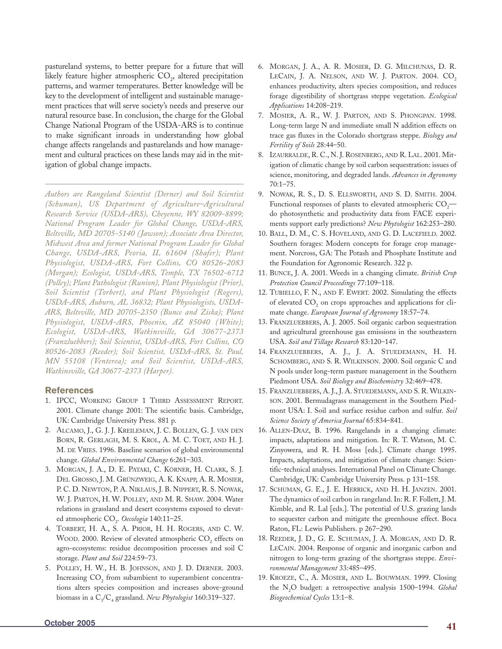pastureland systems, to better prepare for a future that will likely feature higher atmospheric  $\mathrm{CO}_2$ , altered precipitation patterns, and warmer temperatures. Better knowledge will be key to the development of intelligent and sustainable management practices that will serve society's needs and preserve our natural resource base. In conclusion, the charge for the Global Change National Program of the USDA-ARS is to continue to make significant inroads in understanding how global change affects rangelands and pasturelands and how management and cultural practices on these lands may aid in the mitigation of global change impacts.

*Authors are Rangeland Scientist (Derner) and Soil Scientist (Schuman), US Department of Agriculture–Agricultural Research Service (USDA-ARS), Cheyenne, WY 82009-8899; National Program Leader for Global Change, USDA-ARS, Beltsville, MD 20705-5140 (Jawson); Associate Area Director, Midwest Area and former National Program Leader for Global Change, USDA-ARS, Peoria, IL 61604 (Shafer); Plant Physiologist, USDA-ARS, Fort Collins, CO 80526-2083 (Morgan); Ecologist, USDA-ARS, Temple, TX 76502-6712 (Polley); Plant Pathologist (Runion), Plant Physiologist (Prior), Soil Scientist (Torbert), and Plant Physiologist (Rogers), USDA-ARS, Auburn, AL 36832; Plant Physiologists, USDA-ARS, Beltsville, MD 20705-2350 (Bunce and Ziska); Plant Physiologist, USDA-ARS, Phoenix, AZ 85040 (White); Ecologist, USDA-ARS, Watkinsville, GA 30677-2373 (Franzluebbers); Soil Scientist, USDA-ARS, Fort Collins, CO 80526-2083 (Reeder); Soil Scientist, USDA-ARS, St. Paul, MN 55108 (Venterea); and Soil Scientist, USDA-ARS, Watkinsville, GA 30677-2373 (Harper).*

## **References**

- 1. IPCC, WORKING GROUP 1 THIRD ASSESSMENT REPORT. 2001. Climate change 2001: The scientific basis. Cambridge, UK: Cambridge University Press. 881 p.
- 2. ALCAMO, J., G. J. J. KREILEMAN, J. C. BOLLEN, G. J. VAN DEN BORN, R. GERLAGH, M. S. KROL, A. M. C. TOET, AND H. J. M. DE VRIES. 1996. Baseline scenarios of global environmental change. *Global Environmental Change* 6:261–303.
- 3. MORGAN, J. A., D. E. PATAKI, C. KÖRNER, H. CLARK, S. J. DEL GROSSO, J. M. GRÜNZWEIG, A. K. KNAPP, A. R. MOSIER, P. C. D. NEWTON, P. A. NIKLAUS, J. B. NIPPERT, R. S. NOWAK, W. J. PARTON, H. W. POLLEY, AND M. R. SHAW. 2004. Water relations in grassland and desert ecosystems exposed to elevated atmospheric CO<sub>2</sub>. Oecologia 140:11-25.
- 4. TORBERT, H. A., S. A. PRIOR, H. H. ROGERS, AND C. W. WOOD. 2000. Review of elevated atmospheric CO<sub>2</sub> effects on agro-ecosystems: residue decomposition processes and soil C storage. *Plant and Soil* 224:59–73.
- 5. POLLEY, H. W., H. B. JOHNSON, AND J. D. DERNER. 2003. Increasing CO<sub>2</sub> from subambient to superambient concentrations alters species composition and increases above-ground biomass in a C<sub>3</sub>/C<sub>4</sub> grassland. *New Phytologist* 160:319–327.
- 6. MORGAN, J. A., A. R. MOSIER, D. G. MILCHUNAS, D. R. LECAIN, J. A. NELSON, AND W. J. PARTON. 2004. CO<sub>2</sub> enhances productivity, alters species composition, and reduces forage digestibility of shortgrass steppe vegetation. *Ecological Applications* 14:208–219.
- 7. MOSIER, A. R., W. J. PARTON, AND S. PHONGPAN. 1998. Long-term large N and immediate small N addition effects on trace gas fluxes in the Colorado shortgrass steppe. *Biology and Fertility of Soils* 28:44–50.
- 8. IZAURRALDE, R. C., N. J. ROSENBERG, AND R. LAL. 2001. Mitigation of climatic change by soil carbon sequestration: issues of science, monitoring, and degraded lands. *Advances in Agronomy* 70:1–75.
- 9. NOWAK, R. S., D. S. ELLSWORTH, AND S. D. SMITH. 2004. Functional responses of plants to elevated atmospheric  $CO<sub>2</sub>$ do photosynthetic and productivity data from FACE experiments support early predictions? *New Phytologist* 162:253–280.
- 10. BALL, D. M., C. S. HOVELAND, AND G. D. LACEFIELD. 2002. Southern forages: Modern concepts for forage crop management. Norcross, GA: The Potash and Phosphate Institute and the Foundation for Agronomic Research. 322 p.
- 11. BUNCE, J. A. 2001. Weeds in a changing climate. *British Crop Protection Council Proceedings* 77:109–118.
- 12. TUBIELLO, F. N., AND F. EWERT. 2002. Simulating the effects of elevated CO<sub>2</sub> on crops approaches and applications for climate change. *European Journal of Agronomy* 18:57–74.
- 13. FRANZLUEBBERS, A. J. 2005. Soil organic carbon sequestration and agricultural greenhouse gas emissions in the southeastern USA. *Soil and Tillage Research* 83:120–147.
- 14. FRANZLUEBBERS, A. J., J. A. STUEDEMANN, H. H. SCHOMBERG, AND S. R. WILKINSON. 2000. Soil organic C and N pools under long-term pasture management in the Southern Piedmont USA. *Soil Biology and Biochemistry* 32:469–478.
- 15. FRANZLUEBBERS, A. J., J. A. STUEDEMANN, AND S. R. WILKIN-SON. 2001. Bermudagrass management in the Southern Piedmont USA: I. Soil and surface residue carbon and sulfur. *Soil Science Society of America Journal* 65:834–841.
- 16. ALLEN-DIAZ, B. 1996. Rangelands in a changing climate: impacts, adaptations and mitigation. In: R. T. Watson, M. C. Zinyowera, and R. H. Moss [eds.]. Climate change 1995. Impacts, adaptations, and mitigation of climate change: Scientific-technical analyses. International Panel on Climate Change. Cambridge, UK: Cambridge University Press. p 131–158.
- 17. SCHUMAN, G. E., J. E. HERRICK, AND H. H. JANZEN. 2001. The dynamics of soil carbon in rangeland. In: R. F. Follett, J. M. Kimble, and R. Lal [eds.]. The potential of U.S. grazing lands to sequester carbon and mitigate the greenhouse effect. Boca Raton, FL: Lewis Publishers. p 267–290.
- 18. REEDER, J. D., G. E. SCHUMAN, J. A. MORGAN, AND D. R. LECAIN. 2004. Response of organic and inorganic carbon and nitrogen to long-term grazing of the shortgrass steppe. *Environmental Management* 33:485–495.
- 19. KROEZE, C., A. MOSIER, AND L. BOUWMAN. 1999. Closing the N2O budget: a retrospective analysis 1500–1994. *Global Biogeochemical Cycles* 13:1–8.